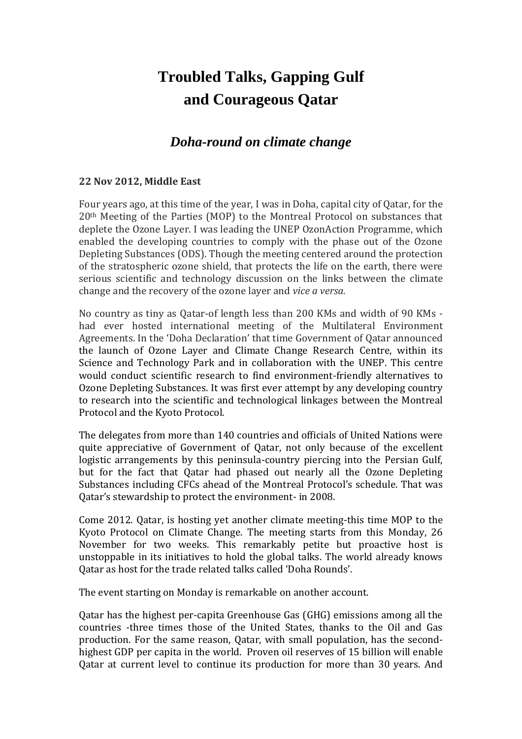## **Troubled Talks, Gapping Gulf and Courageous Qatar**

## *Doha-round on climate change*

## **22 Nov 2012, Middle East**

Four years ago, at this time of the year, I was in Doha, capital city of Qatar, for the 20th Meeting of the Parties (MOP) to the Montreal Protocol on substances that deplete the Ozone Layer. I was leading the UNEP OzonAction Programme, which enabled the developing countries to comply with the phase out of the Ozone Depleting Substances (ODS). Though the meeting centered around the protection of the stratospheric ozone shield, that protects the life on the earth, there were serious scientific and technology discussion on the links between the climate change and the recovery of the ozone layer and *vice a versa.*

No country as tiny as Qatar-of length less than 200 KMs and width of 90 KMs had ever hosted international meeting of the Multilateral Environment Agreements. In the 'Doha Declaration' that time Government of Qatar announced the launch of Ozone Layer and Climate Change Research Centre, within its Science and Technology Park and in collaboration with the UNEP. This centre would conduct scientific research to find environment-friendly alternatives to Ozone Depleting Substances. It was first ever attempt by any developing country to research into the scientific and technological linkages between the Montreal Protocol and the Kyoto Protocol.

The delegates from more than 140 countries and officials of United Nations were quite appreciative of Government of Qatar, not only because of the excellent logistic arrangements by this peninsula-country piercing into the Persian Gulf, but for the fact that Qatar had phased out nearly all the Ozone Depleting Substances including CFCs ahead of the Montreal Protocol's schedule. That was Qatar's stewardship to protect the environment- in 2008.

Come 2012. Qatar, is hosting yet another climate meeting-this time MOP to the Kyoto Protocol on Climate Change. The meeting starts from this Monday, 26 November for two weeks. This remarkably petite but proactive host is unstoppable in its initiatives to hold the global talks. The world already knows Qatar as host for the trade related talks called 'Doha Rounds'.

The event starting on Monday is remarkable on another account.

Qatar has the highest per-capita Greenhouse Gas (GHG) emissions among all the countries -three times those of the United States, thanks to the Oil and Gas production. For the same reason, Qatar, with small population, has the secondhighest GDP per capita in the world. Proven oil reserves of 15 billion will enable Qatar at current level to continue its production for more than 30 years. And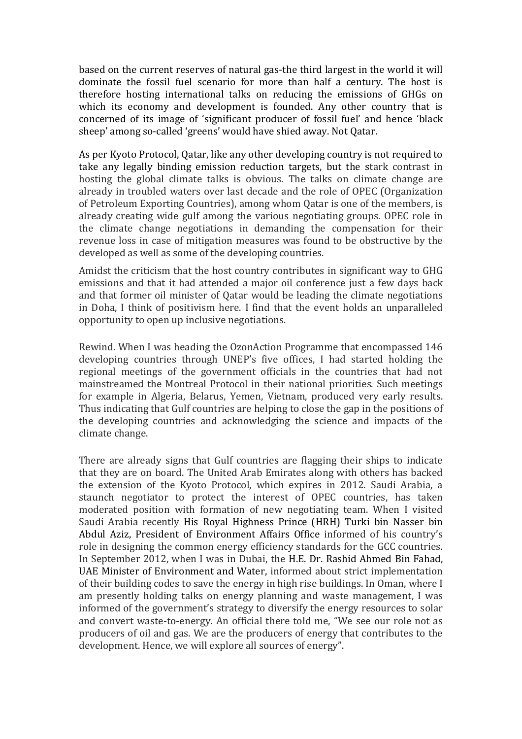based on the current reserves of natural gas-the third largest in the world it will dominate the fossil fuel scenario for more than half a century. The host is therefore hosting international talks on reducing the emissions of GHGs on which its economy and development is founded. Any other country that is concerned of its image of 'significant producer of fossil fuel' and hence 'black sheep' among so-called 'greens' would have shied away. Not Qatar.

As per Kyoto Protocol, Qatar, like any other developing country is not required to take any legally binding emission reduction targets, but the stark contrast in hosting the global climate talks is obvious. The talks on climate change are already in troubled waters over last decade and the role of OPEC (Organization of Petroleum Exporting Countries), among whom Qatar is one of the members, is already creating wide gulf among the various negotiating groups. OPEC role in the climate change negotiations in demanding the compensation for their revenue loss in case of mitigation measures was found to be obstructive by the developed as well as some of the developing countries.

Amidst the criticism that the host country contributes in significant way to GHG emissions and that it had attended a major oil conference just a few days back and that former oil minister of Qatar would be leading the climate negotiations in Doha, I think of positivism here. I find that the event holds an unparalleled opportunity to open up inclusive negotiations.

Rewind. When I was heading the OzonAction Programme that encompassed 146 developing countries through UNEP's five offices, I had started holding the regional meetings of the government officials in the countries that had not mainstreamed the Montreal Protocol in their national priorities. Such meetings for example in Algeria, Belarus, Yemen, Vietnam, produced very early results. Thus indicating that Gulf countries are helping to close the gap in the positions of the developing countries and acknowledging the science and impacts of the climate change.

There are already signs that Gulf countries are flagging their ships to indicate that they are on board. The United Arab Emirates along with others has backed the extension of the Kyoto Protocol, which expires in 2012. Saudi Arabia, a staunch negotiator to protect the interest of OPEC countries, has taken moderated position with formation of new negotiating team. When I visited Saudi Arabia recently His Royal Highness Prince (HRH) Turki bin Nasser bin Abdul Aziz, President of Environment Affairs Office informed of his country's role in designing the common energy efficiency standards for the GCC countries. In September 2012, when I was in Dubai, the H.E. Dr. Rashid Ahmed Bin Fahad, UAE Minister of Environment and Water, informed about strict implementation of their building codes to save the energy in high rise buildings. In Oman, where I am presently holding talks on energy planning and waste management, I was informed of the government's strategy to diversify the energy resources to solar and convert waste-to-energy. An official there told me, "We see our role not as producers of oil and gas. We are the producers of energy that contributes to the development. Hence, we will explore all sources of energy".